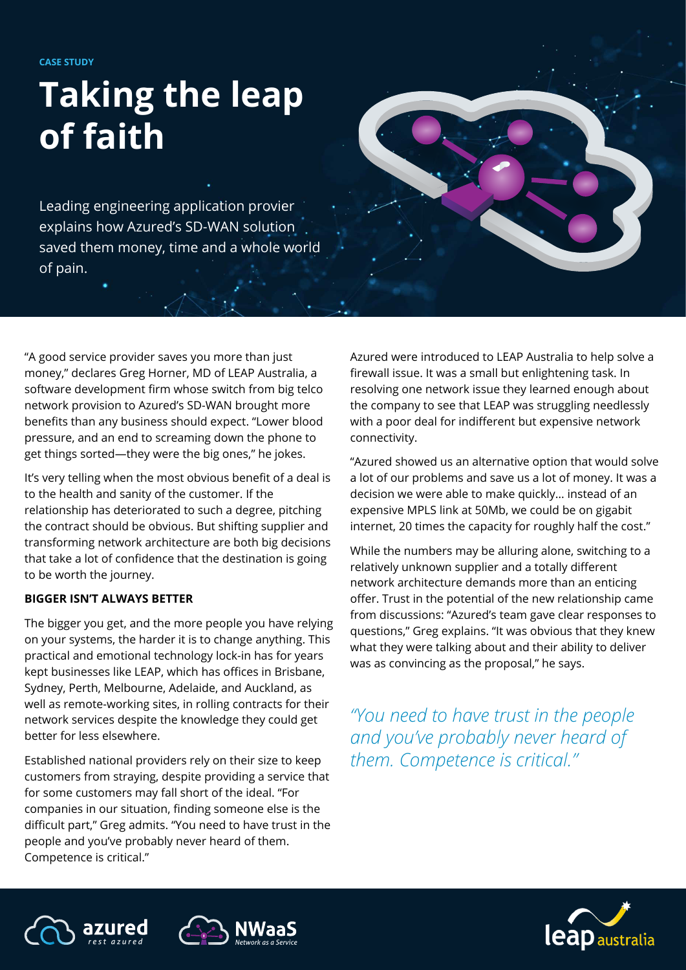**CASE STUDY**

# **Taking the leap of faith**

Leading engineering application provier explains how Azured's SD-WAN solution saved them money, time and a whole world of pain.

"A good service provider saves you more than just money," declares Greg Horner, MD of LEAP Australia, a software development firm whose switch from big telco network provision to Azured's SD-WAN brought more benefits than any business should expect. "Lower blood pressure, and an end to screaming down the phone to get things sorted—they were the big ones," he jokes.

It's very telling when the most obvious benefit of a deal is to the health and sanity of the customer. If the relationship has deteriorated to such a degree, pitching the contract should be obvious. But shifting supplier and transforming network architecture are both big decisions that take a lot of confidence that the destination is going to be worth the journey.

#### **BIGGER ISN'T ALWAYS BETTER**

The bigger you get, and the more people you have relying on your systems, the harder it is to change anything. This practical and emotional technology lock-in has for years kept businesses like LEAP, which has offices in Brisbane, Sydney, Perth, Melbourne, Adelaide, and Auckland, as well as remote-working sites, in rolling contracts for their network services despite the knowledge they could get better for less elsewhere.

Established national providers rely on their size to keep customers from straying, despite providing a service that for some customers may fall short of the ideal. "For companies in our situation, finding someone else is the difficult part," Greg admits. "You need to have trust in the people and you've probably never heard of them. Competence is critical."

Azured were introduced to LEAP Australia to help solve a firewall issue. It was a small but enlightening task. In resolving one network issue they learned enough about the company to see that LEAP was struggling needlessly with a poor deal for indifferent but expensive network connectivity.

"Azured showed us an alternative option that would solve a lot of our problems and save us a lot of money. It was a decision we were able to make quickly… instead of an expensive MPLS link at 50Mb, we could be on gigabit internet, 20 times the capacity for roughly half the cost."

While the numbers may be alluring alone, switching to a relatively unknown supplier and a totally different network architecture demands more than an enticing offer. Trust in the potential of the new relationship came from discussions: "Azured's team gave clear responses to questions," Greg explains. "It was obvious that they knew what they were talking about and their ability to deliver was as convincing as the proposal," he says.

*"You need to have trust in the people and you've probably never heard of them. Competence is critical."*